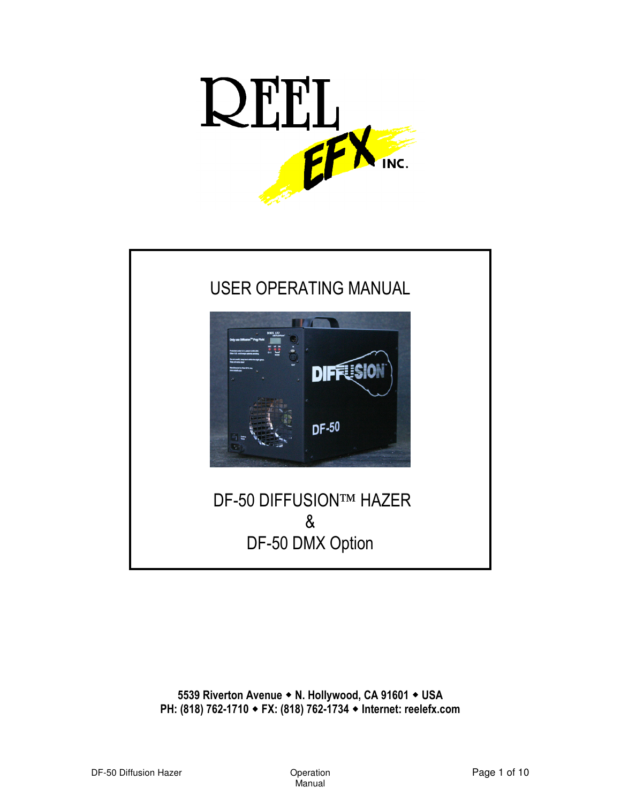



5539 Riverton Avenue • N. Hollywood, CA 91601 • USA PH: (818) 762-1710 ◆ FX: (818) 762-1734 ◆ Internet: reelefx.com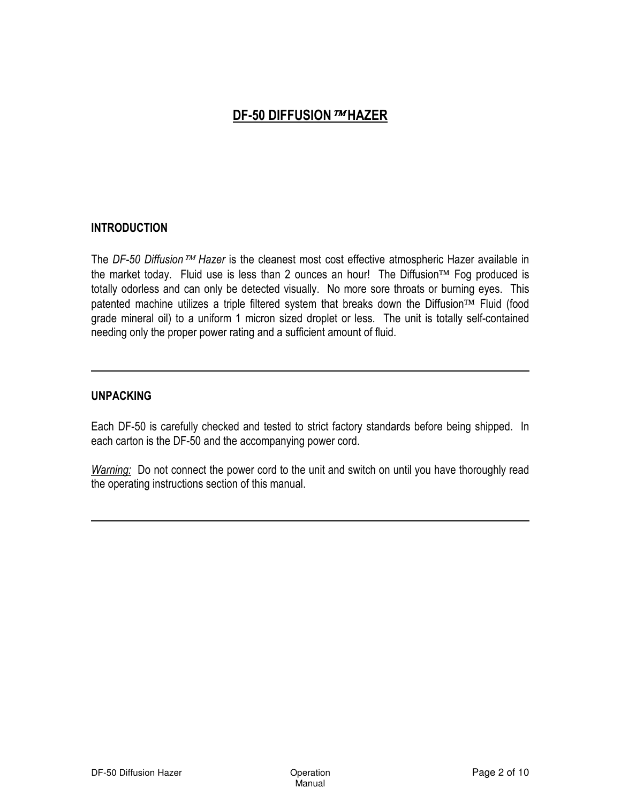### INTRODUCTION

The DF-50 Diffusion  $TM$  Hazer is the cleanest most cost effective atmospheric Hazer available in the market today. Fluid use is less than 2 ounces an hour! The Diffusion<sup>TM</sup> Fog produced is totally odorless and can only be detected visually. No more sore throats or burning eyes. This patented machine utilizes a triple filtered system that breaks down the Diffusion<sup>TM</sup> Fluid (food grade mineral oil) to a uniform 1 micron sized droplet or less. The unit is totally self-contained needing only the proper power rating and a sufficient amount of fluid.

### UNPACKING

Each DF-50 is carefully checked and tested to strict factory standards before being shipped. In each carton is the DF-50 and the accompanying power cord.

Warning: Do not connect the power cord to the unit and switch on until you have thoroughly read the operating instructions section of this manual.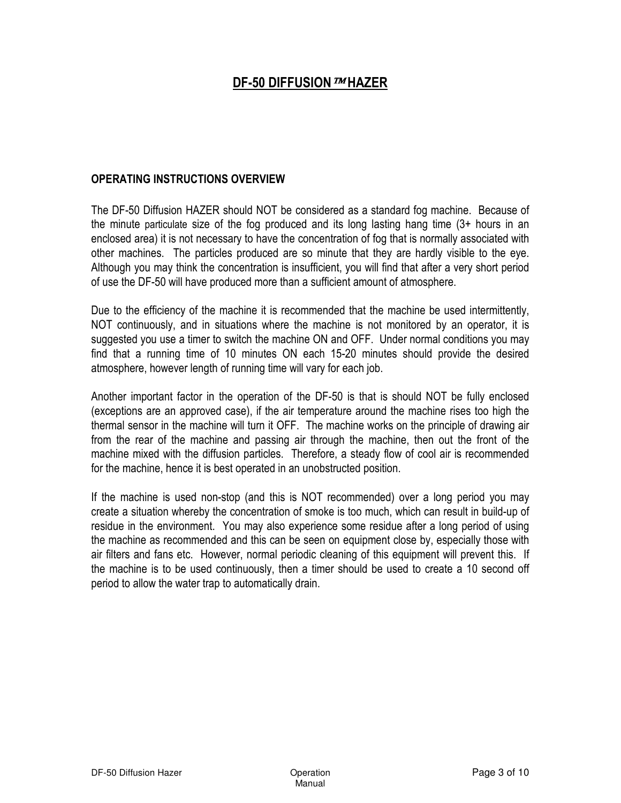### OPERATING INSTRUCTIONS OVERVIEW

The DF-50 Diffusion HAZER should NOT be considered as a standard fog machine. Because of the minute particulate size of the fog produced and its long lasting hang time (3+ hours in an enclosed area) it is not necessary to have the concentration of fog that is normally associated with other machines. The particles produced are so minute that they are hardly visible to the eye. Although you may think the concentration is insufficient, you will find that after a very short period of use the DF-50 will have produced more than a sufficient amount of atmosphere.

Due to the efficiency of the machine it is recommended that the machine be used intermittently, NOT continuously, and in situations where the machine is not monitored by an operator, it is suggested you use a timer to switch the machine ON and OFF. Under normal conditions you may find that a running time of 10 minutes ON each 15-20 minutes should provide the desired atmosphere, however length of running time will vary for each job.

Another important factor in the operation of the DF-50 is that is should NOT be fully enclosed (exceptions are an approved case), if the air temperature around the machine rises too high the thermal sensor in the machine will turn it OFF. The machine works on the principle of drawing air from the rear of the machine and passing air through the machine, then out the front of the machine mixed with the diffusion particles. Therefore, a steady flow of cool air is recommended for the machine, hence it is best operated in an unobstructed position.

If the machine is used non-stop (and this is NOT recommended) over a long period you may create a situation whereby the concentration of smoke is too much, which can result in build-up of residue in the environment. You may also experience some residue after a long period of using the machine as recommended and this can be seen on equipment close by, especially those with air filters and fans etc. However, normal periodic cleaning of this equipment will prevent this. If the machine is to be used continuously, then a timer should be used to create a 10 second off period to allow the water trap to automatically drain.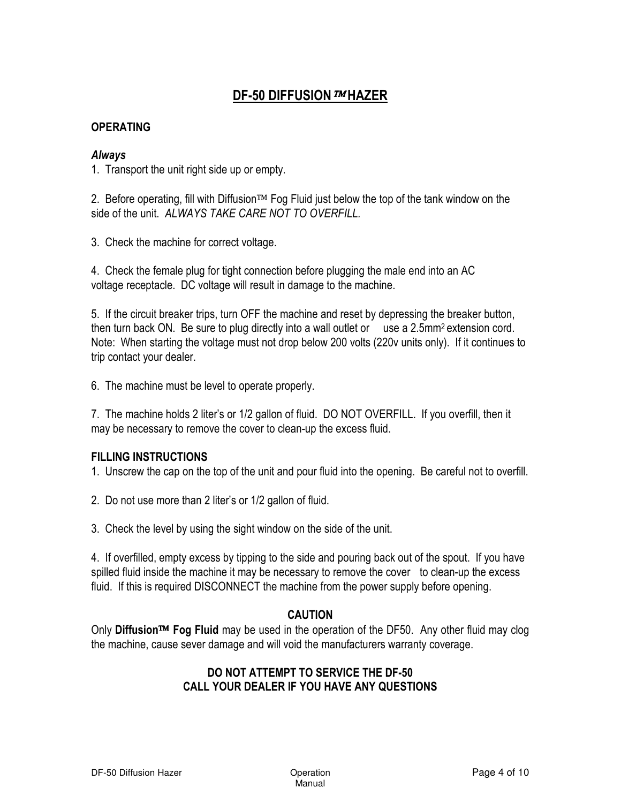### **OPERATING**

### Always

1. Transport the unit right side up or empty.

2. Before operating, fill with Diffusion<sup>TM</sup> Fog Fluid just below the top of the tank window on the side of the unit. ALWAYS TAKE CARE NOT TO OVERFILL.

3. Check the machine for correct voltage.

4. Check the female plug for tight connection before plugging the male end into an AC voltage receptacle. DC voltage will result in damage to the machine.

5. If the circuit breaker trips, turn OFF the machine and reset by depressing the breaker button, then turn back ON. Be sure to plug directly into a wall outlet or use a  $2.5$ mm<sup>2</sup> extension cord. Note: When starting the voltage must not drop below 200 volts (220v units only). If it continues to trip contact your dealer.

6. The machine must be level to operate properly.

7. The machine holds 2 liter's or 1/2 gallon of fluid. DO NOT OVERFILL. If you overfill, then it may be necessary to remove the cover to clean-up the excess fluid.

### FILLING INSTRUCTIONS

1. Unscrew the cap on the top of the unit and pour fluid into the opening. Be careful not to overfill.

- 2. Do not use more than 2 liter's or 1/2 gallon of fluid.
- 3. Check the level by using the sight window on the side of the unit.

4. If overfilled, empty excess by tipping to the side and pouring back out of the spout. If you have spilled fluid inside the machine it may be necessary to remove the cover to clean-up the excess fluid. If this is required DISCONNECT the machine from the power supply before opening.

### CAUTION

Only Diffusion™ Fog Fluid may be used in the operation of the DF50. Any other fluid may clog the machine, cause sever damage and will void the manufacturers warranty coverage.

### DO NOT ATTEMPT TO SERVICE THE DF-50 CALL YOUR DEALER IF YOU HAVE ANY QUESTIONS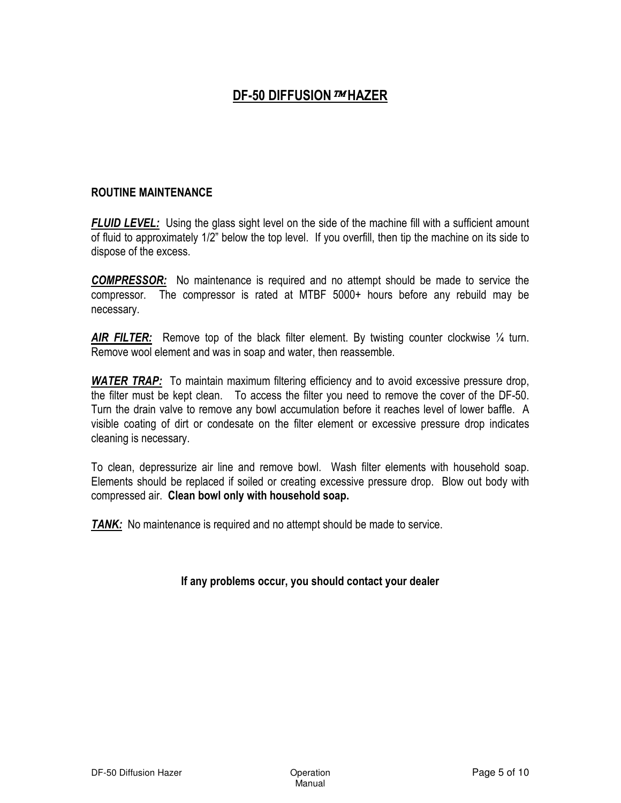### ROUTINE MAINTENANCE

**FLUID LEVEL:** Using the glass sight level on the side of the machine fill with a sufficient amount of fluid to approximately 1/2" below the top level. If you overfill, then tip the machine on its side to dispose of the excess.

COMPRESSOR: No maintenance is required and no attempt should be made to service the compressor. The compressor is rated at MTBF 5000+ hours before any rebuild may be necessary.

AIR FILTER: Remove top of the black filter element. By twisting counter clockwise 1/4 turn. Remove wool element and was in soap and water, then reassemble.

WATER TRAP: To maintain maximum filtering efficiency and to avoid excessive pressure drop, the filter must be kept clean. To access the filter you need to remove the cover of the DF-50. Turn the drain valve to remove any bowl accumulation before it reaches level of lower baffle. A visible coating of dirt or condesate on the filter element or excessive pressure drop indicates cleaning is necessary.

To clean, depressurize air line and remove bowl. Wash filter elements with household soap. Elements should be replaced if soiled or creating excessive pressure drop. Blow out body with compressed air. Clean bowl only with household soap.

**TANK:** No maintenance is required and no attempt should be made to service.

### If any problems occur, you should contact your dealer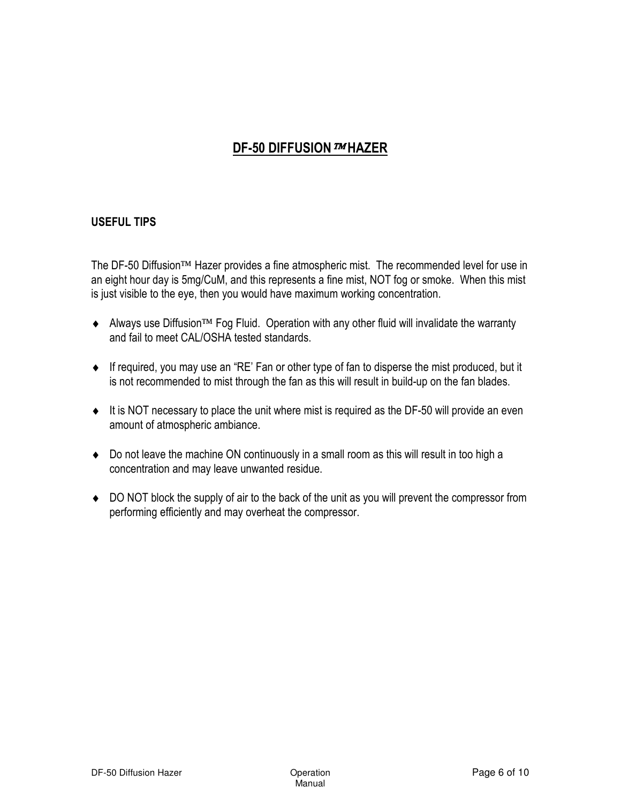### USEFUL TIPS

The DF-50 Diffusion™ Hazer provides a fine atmospheric mist. The recommended level for use in an eight hour day is 5mg/CuM, and this represents a fine mist, NOT fog or smoke. When this mist is just visible to the eye, then you would have maximum working concentration.

- Always use Diffusion<sup>TM</sup> Fog Fluid. Operation with any other fluid will invalidate the warranty and fail to meet CAL/OSHA tested standards.
- ♦ If required, you may use an "RE' Fan or other type of fan to disperse the mist produced, but it is not recommended to mist through the fan as this will result in build-up on the fan blades.
- ♦ It is NOT necessary to place the unit where mist is required as the DF-50 will provide an even amount of atmospheric ambiance.
- ♦ Do not leave the machine ON continuously in a small room as this will result in too high a concentration and may leave unwanted residue.
- ♦ DO NOT block the supply of air to the back of the unit as you will prevent the compressor from performing efficiently and may overheat the compressor.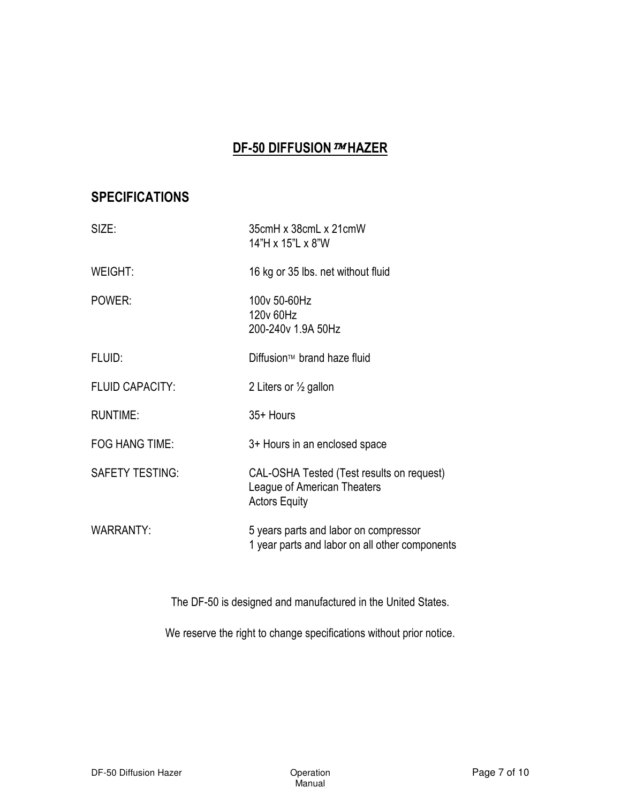## **SPECIFICATIONS**

| SIZE:                  | 35cmH x 38cmL x 21cmW<br>14"H x 15"L x 8"W                                                       |
|------------------------|--------------------------------------------------------------------------------------------------|
| WEIGHT:                | 16 kg or 35 lbs. net without fluid                                                               |
| POWER:                 | 100v 50-60Hz<br>120v 60Hz<br>200-240v 1.9A 50Hz                                                  |
| FLUID:                 | Diffusion™ brand haze fluid                                                                      |
| <b>FLUID CAPACITY:</b> | 2 Liters or $\frac{1}{2}$ gallon                                                                 |
| <b>RUNTIME:</b>        | 35+ Hours                                                                                        |
| <b>FOG HANG TIME:</b>  | 3+ Hours in an enclosed space                                                                    |
| <b>SAFETY TESTING:</b> | CAL-OSHA Tested (Test results on request)<br>League of American Theaters<br><b>Actors Equity</b> |
| <b>WARRANTY:</b>       | 5 years parts and labor on compressor<br>1 year parts and labor on all other components          |

The DF-50 is designed and manufactured in the United States.

We reserve the right to change specifications without prior notice.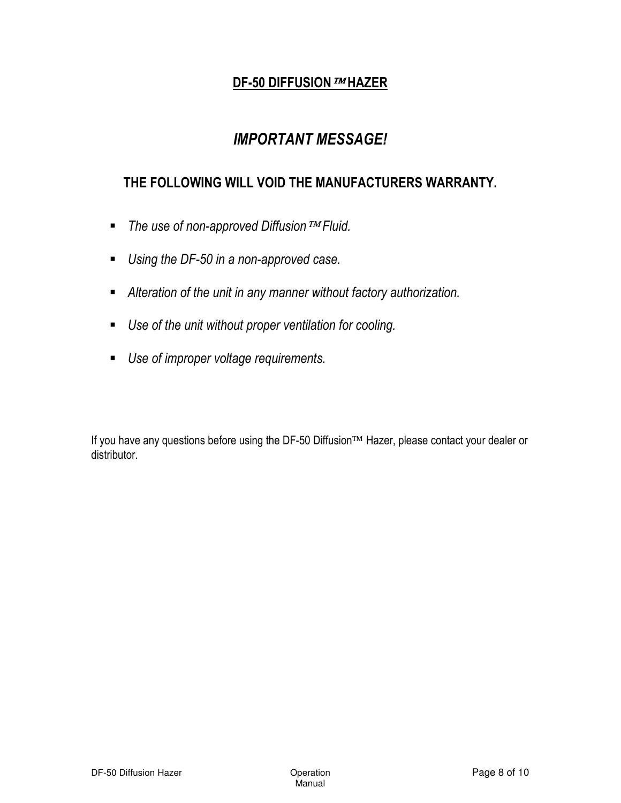# IMPORTANT MESSAGE!

## THE FOLLOWING WILL VOID THE MANUFACTURERS WARRANTY.

- -The use of non-approved Diffusion TM Fluid.
- **Using the DF-50 in a non-approved case.**
- **Alteration of the unit in any manner without factory authorization.**
- **Use of the unit without proper ventilation for cooling.**
- **Use of improper voltage requirements.**

If you have any questions before using the DF-50 Diffusion™ Hazer, please contact your dealer or distributor.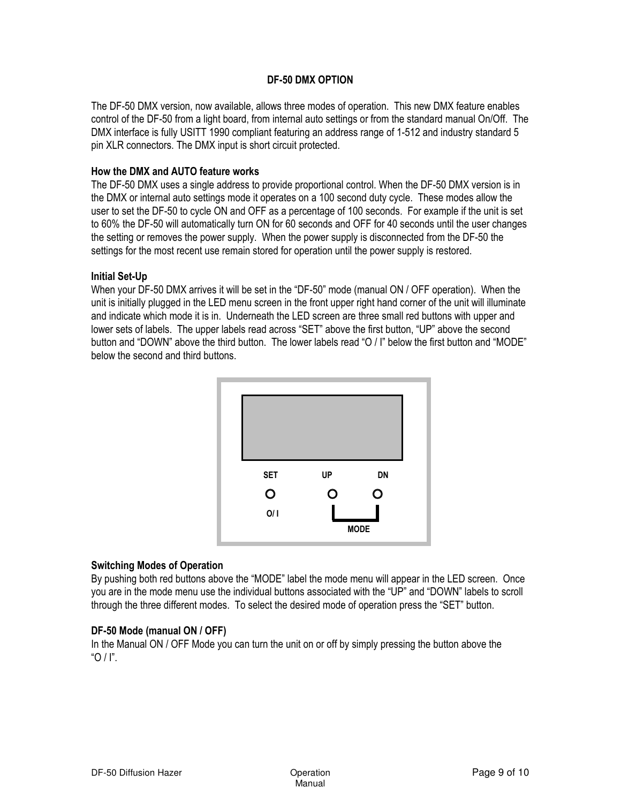#### DF-50 DMX OPTION

The DF-50 DMX version, now available, allows three modes of operation. This new DMX feature enables control of the DF-50 from a light board, from internal auto settings or from the standard manual On/Off. The DMX interface is fully USITT 1990 compliant featuring an address range of 1-512 and industry standard 5 pin XLR connectors. The DMX input is short circuit protected.

#### How the DMX and AUTO feature works

The DF-50 DMX uses a single address to provide proportional control. When the DF-50 DMX version is in the DMX or internal auto settings mode it operates on a 100 second duty cycle. These modes allow the user to set the DF-50 to cycle ON and OFF as a percentage of 100 seconds. For example if the unit is set to 60% the DF-50 will automatically turn ON for 60 seconds and OFF for 40 seconds until the user changes the setting or removes the power supply. When the power supply is disconnected from the DF-50 the settings for the most recent use remain stored for operation until the power supply is restored.

#### Initial Set-Up

When your DF-50 DMX arrives it will be set in the "DF-50" mode (manual ON / OFF operation). When the unit is initially plugged in the LED menu screen in the front upper right hand corner of the unit will illuminate and indicate which mode it is in. Underneath the LED screen are three small red buttons with upper and lower sets of labels. The upper labels read across "SET" above the first button, "UP" above the second button and "DOWN" above the third button. The lower labels read "O / I" below the first button and "MODE" below the second and third buttons.



### Switching Modes of Operation

By pushing both red buttons above the "MODE" label the mode menu will appear in the LED screen. Once you are in the mode menu use the individual buttons associated with the "UP" and "DOWN" labels to scroll through the three different modes. To select the desired mode of operation press the "SET" button.

#### DF-50 Mode (manual ON / OFF)

In the Manual ON / OFF Mode you can turn the unit on or off by simply pressing the button above the " $\bigcap$  /  $\bigcap$ "